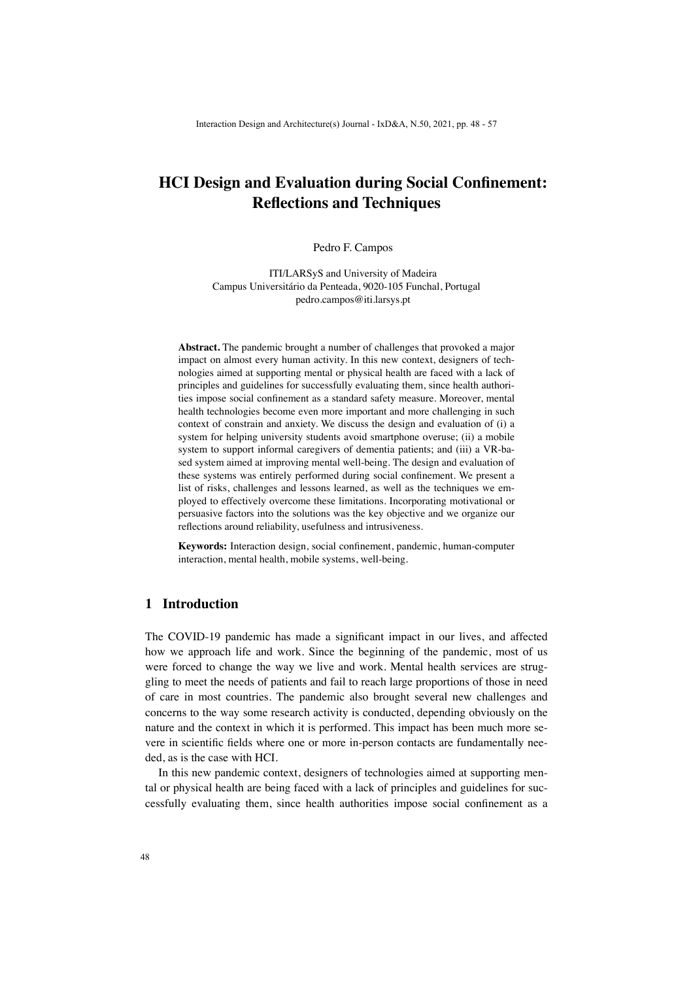# **HCI Design and Evaluation during Social Confinement: Reflections and Techniques**

Pedro F. Campos

ITI/LARSyS and University of Madeira Campus Universitário da Penteada, 9020-105 Funchal, Portugal pedro.campos@iti.larsys.pt

**Abstract.** The pandemic brought a number of challenges that provoked a major impact on almost every human activity. In this new context, designers of technologies aimed at supporting mental or physical health are faced with a lack of principles and guidelines for successfully evaluating them, since health authorities impose social confinement as a standard safety measure. Moreover, mental health technologies become even more important and more challenging in such context of constrain and anxiety. We discuss the design and evaluation of (i) a system for helping university students avoid smartphone overuse; (ii) a mobile system to support informal caregivers of dementia patients; and (iii) a VR-based system aimed at improving mental well-being. The design and evaluation of these systems was entirely performed during social confinement. We present a list of risks, challenges and lessons learned, as well as the techniques we employed to effectively overcome these limitations. Incorporating motivational or persuasive factors into the solutions was the key objective and we organize our reflections around reliability, usefulness and intrusiveness.

**Keywords:** Interaction design, social confinement, pandemic, human-computer interaction, mental health, mobile systems, well-being.

# **1 Introduction**

The COVID-19 pandemic has made a significant impact in our lives, and affected how we approach life and work. Since the beginning of the pandemic, most of us were forced to change the way we live and work. Mental health services are struggling to meet the needs of patients and fail to reach large proportions of those in need of care in most countries. The pandemic also brought several new challenges and concerns to the way some research activity is conducted, depending obviously on the nature and the context in which it is performed. This impact has been much more severe in scientific fields where one or more in-person contacts are fundamentally needed, as is the case with HCI.

In this new pandemic context, designers of technologies aimed at supporting mental or physical health are being faced with a lack of principles and guidelines for successfully evaluating them, since health authorities impose social confinement as a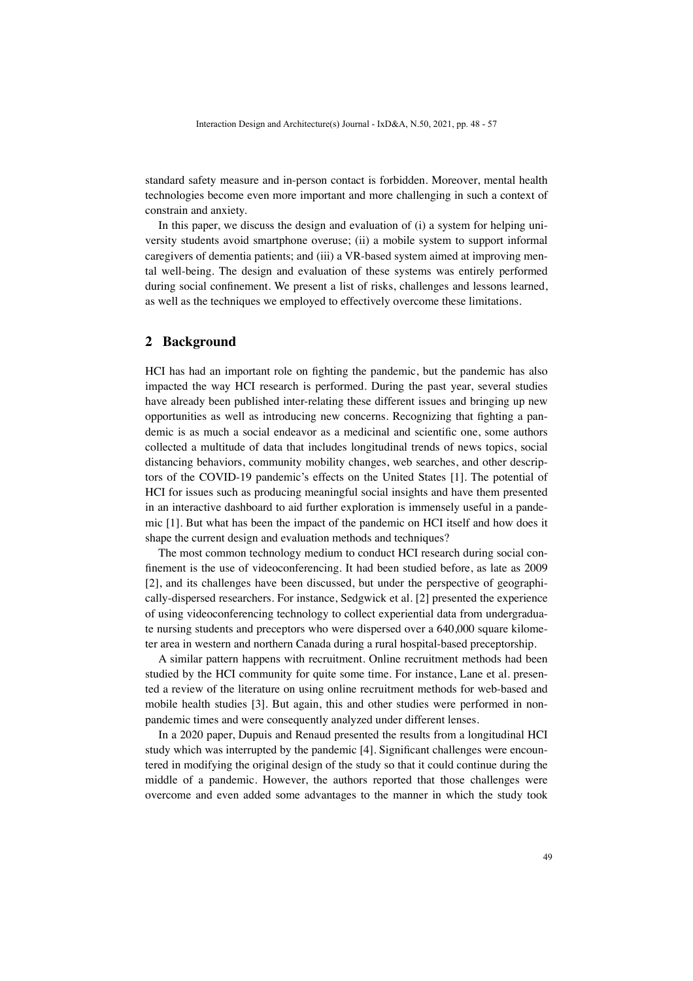standard safety measure and in-person contact is forbidden. Moreover, mental health technologies become even more important and more challenging in such a context of constrain and anxiety.

In this paper, we discuss the design and evaluation of (i) a system for helping university students avoid smartphone overuse; (ii) a mobile system to support informal caregivers of dementia patients; and (iii) a VR-based system aimed at improving mental well-being. The design and evaluation of these systems was entirely performed during social confinement. We present a list of risks, challenges and lessons learned, as well as the techniques we employed to effectively overcome these limitations.

### **2 Background**

HCI has had an important role on fighting the pandemic, but the pandemic has also impacted the way HCI research is performed. During the past year, several studies have already been published inter-relating these different issues and bringing up new opportunities as well as introducing new concerns. Recognizing that fighting a pandemic is as much a social endeavor as a medicinal and scientific one, some authors collected a multitude of data that includes longitudinal trends of news topics, social distancing behaviors, community mobility changes, web searches, and other descriptors of the COVID-19 pandemic's effects on the United States [1]. The potential of HCI for issues such as producing meaningful social insights and have them presented in an interactive dashboard to aid further exploration is immensely useful in a pandemic [1]. But what has been the impact of the pandemic on HCI itself and how does it shape the current design and evaluation methods and techniques?

The most common technology medium to conduct HCI research during social confinement is the use of videoconferencing. It had been studied before, as late as 2009 [2], and its challenges have been discussed, but under the perspective of geographically-dispersed researchers. For instance, Sedgwick et al. [2] presented the experience of using videoconferencing technology to collect experiential data from undergraduate nursing students and preceptors who were dispersed over a 640,000 square kilometer area in western and northern Canada during a rural hospital-based preceptorship.

A similar pattern happens with recruitment. Online recruitment methods had been studied by the HCI community for quite some time. For instance, Lane et al. presented a review of the literature on using online recruitment methods for web-based and mobile health studies [3]. But again, this and other studies were performed in nonpandemic times and were consequently analyzed under different lenses.

In a 2020 paper, Dupuis and Renaud presented the results from a longitudinal HCI study which was interrupted by the pandemic [4]. Significant challenges were encountered in modifying the original design of the study so that it could continue during the middle of a pandemic. However, the authors reported that those challenges were overcome and even added some advantages to the manner in which the study took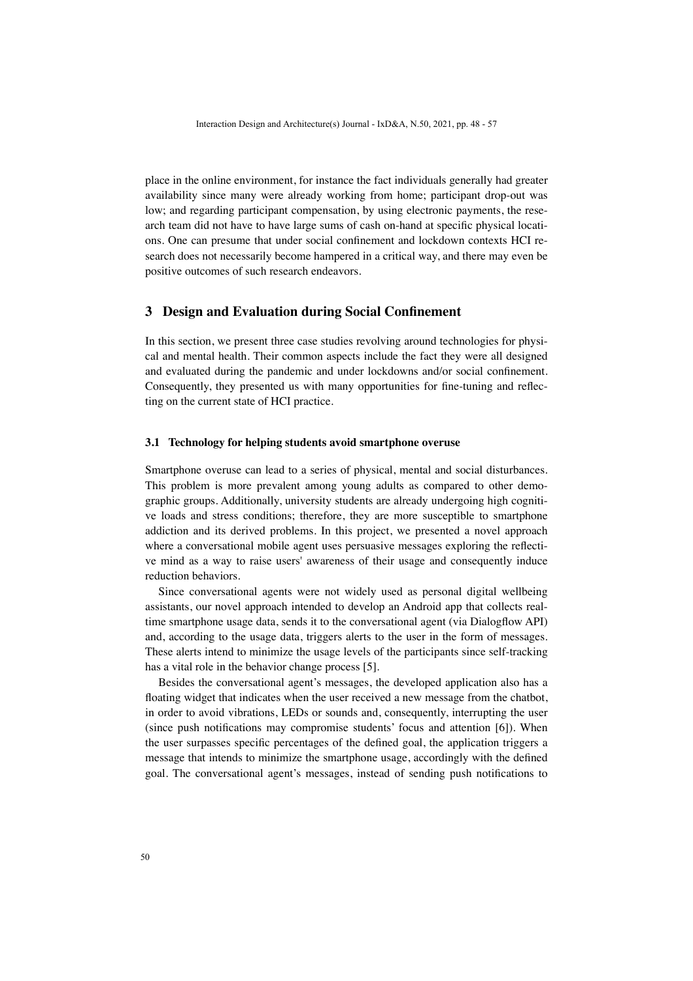place in the online environment, for instance the fact individuals generally had greater availability since many were already working from home; participant drop-out was low; and regarding participant compensation, by using electronic payments, the research team did not have to have large sums of cash on-hand at specific physical locations. One can presume that under social confinement and lockdown contexts HCI research does not necessarily become hampered in a critical way, and there may even be positive outcomes of such research endeavors.

# **3 Design and Evaluation during Social Confinement**

In this section, we present three case studies revolving around technologies for physical and mental health. Their common aspects include the fact they were all designed and evaluated during the pandemic and under lockdowns and/or social confinement. Consequently, they presented us with many opportunities for fine-tuning and reflecting on the current state of HCI practice.

### **3.1 Technology for helping students avoid smartphone overuse**

Smartphone overuse can lead to a series of physical, mental and social disturbances. This problem is more prevalent among young adults as compared to other demographic groups. Additionally, university students are already undergoing high cognitive loads and stress conditions; therefore, they are more susceptible to smartphone addiction and its derived problems. In this project, we presented a novel approach where a conversational mobile agent uses persuasive messages exploring the reflective mind as a way to raise users' awareness of their usage and consequently induce reduction behaviors.

Since conversational agents were not widely used as personal digital wellbeing assistants, our novel approach intended to develop an Android app that collects realtime smartphone usage data, sends it to the conversational agent (via Dialogflow API) and, according to the usage data, triggers alerts to the user in the form of messages. These alerts intend to minimize the usage levels of the participants since self-tracking has a vital role in the behavior change process [5].

Besides the conversational agent's messages, the developed application also has a floating widget that indicates when the user received a new message from the chatbot, in order to avoid vibrations, LEDs or sounds and, consequently, interrupting the user (since push notifications may compromise students' focus and attention [6]). When the user surpasses specific percentages of the defined goal, the application triggers a message that intends to minimize the smartphone usage, accordingly with the defined goal. The conversational agent's messages, instead of sending push notifications to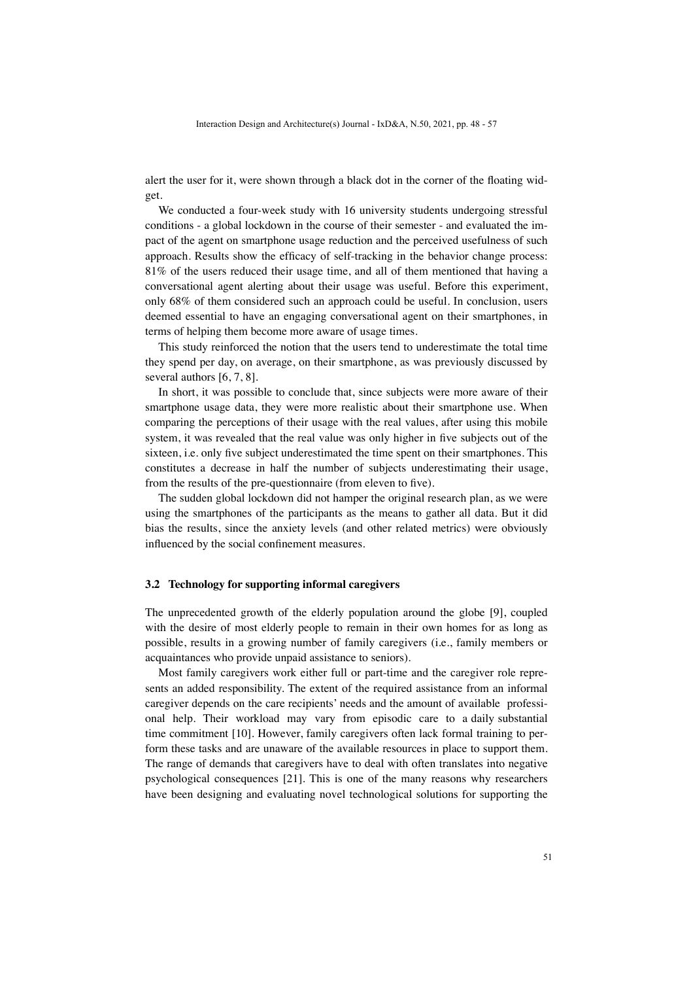alert the user for it, were shown through a black dot in the corner of the floating widget.

We conducted a four-week study with 16 university students undergoing stressful conditions - a global lockdown in the course of their semester - and evaluated the impact of the agent on smartphone usage reduction and the perceived usefulness of such approach. Results show the efficacy of self-tracking in the behavior change process: 81% of the users reduced their usage time, and all of them mentioned that having a conversational agent alerting about their usage was useful. Before this experiment, only 68% of them considered such an approach could be useful. In conclusion, users deemed essential to have an engaging conversational agent on their smartphones, in terms of helping them become more aware of usage times.

This study reinforced the notion that the users tend to underestimate the total time they spend per day, on average, on their smartphone, as was previously discussed by several authors [6, 7, 8].

In short, it was possible to conclude that, since subjects were more aware of their smartphone usage data, they were more realistic about their smartphone use. When comparing the perceptions of their usage with the real values, after using this mobile system, it was revealed that the real value was only higher in five subjects out of the sixteen, i.e. only five subject underestimated the time spent on their smartphones. This constitutes a decrease in half the number of subjects underestimating their usage, from the results of the pre-questionnaire (from eleven to five).

The sudden global lockdown did not hamper the original research plan, as we were using the smartphones of the participants as the means to gather all data. But it did bias the results, since the anxiety levels (and other related metrics) were obviously influenced by the social confinement measures.

#### **3.2 Technology for supporting informal caregivers**

The unprecedented growth of the elderly population around the globe [9], coupled with the desire of most elderly people to remain in their own homes for as long as possible, results in a growing number of family caregivers (i.e., family members or acquaintances who provide unpaid assistance to seniors).

Most family caregivers work either full or part-time and the caregiver role represents an added responsibility. The extent of the required assistance from an informal caregiver depends on the care recipients' needs and the amount of available professional help. Their workload may vary from episodic care to a daily substantial time commitment [10]. However, family caregivers often lack formal training to perform these tasks and are unaware of the available resources in place to support them. The range of demands that caregivers have to deal with often translates into negative psychological consequences [21]. This is one of the many reasons why researchers have been designing and evaluating novel technological solutions for supporting the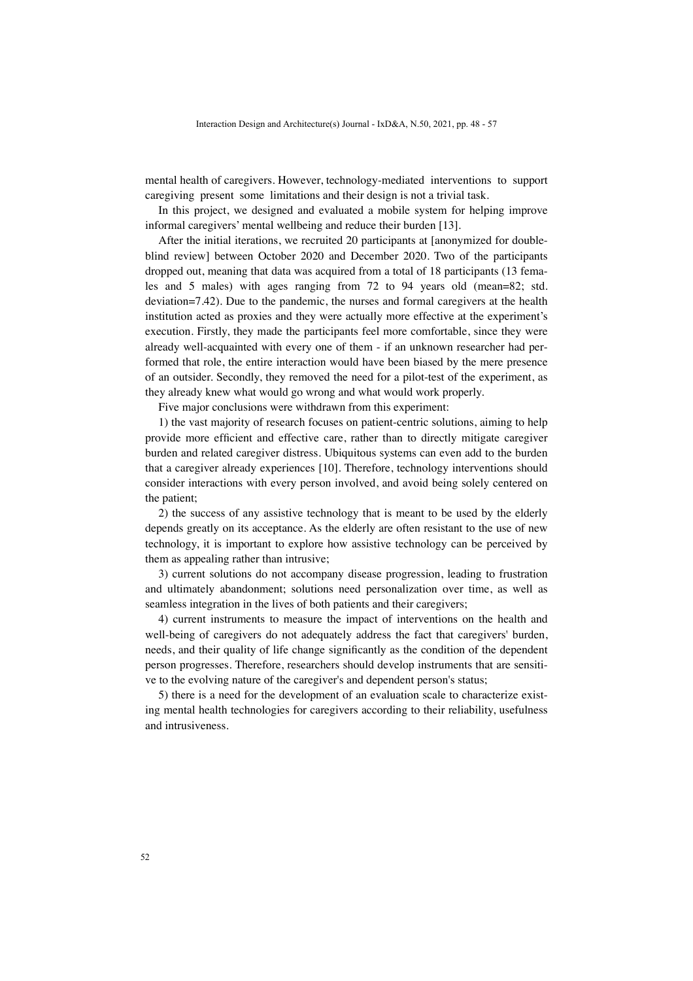mental health of caregivers. However, technology-mediated interventions to support caregiving present some limitations and their design is not a trivial task.

In this project, we designed and evaluated a mobile system for helping improve informal caregivers' mental wellbeing and reduce their burden [13].

After the initial iterations, we recruited 20 participants at [anonymized for doubleblind review] between October 2020 and December 2020. Two of the participants dropped out, meaning that data was acquired from a total of 18 participants (13 females and 5 males) with ages ranging from 72 to 94 years old (mean=82; std. deviation=7.42). Due to the pandemic, the nurses and formal caregivers at the health institution acted as proxies and they were actually more effective at the experiment's execution. Firstly, they made the participants feel more comfortable, since they were already well-acquainted with every one of them - if an unknown researcher had performed that role, the entire interaction would have been biased by the mere presence of an outsider. Secondly, they removed the need for a pilot-test of the experiment, as they already knew what would go wrong and what would work properly.

Five major conclusions were withdrawn from this experiment:

1) the vast majority of research focuses on patient-centric solutions, aiming to help provide more efficient and effective care, rather than to directly mitigate caregiver burden and related caregiver distress. Ubiquitous systems can even add to the burden that a caregiver already experiences [10]. Therefore, technology interventions should consider interactions with every person involved, and avoid being solely centered on the patient;

2) the success of any assistive technology that is meant to be used by the elderly depends greatly on its acceptance. As the elderly are often resistant to the use of new technology, it is important to explore how assistive technology can be perceived by them as appealing rather than intrusive;

3) current solutions do not accompany disease progression, leading to frustration and ultimately abandonment; solutions need personalization over time, as well as seamless integration in the lives of both patients and their caregivers;

4) current instruments to measure the impact of interventions on the health and well-being of caregivers do not adequately address the fact that caregivers' burden, needs, and their quality of life change significantly as the condition of the dependent person progresses. Therefore, researchers should develop instruments that are sensitive to the evolving nature of the caregiver's and dependent person's status;

5) there is a need for the development of an evaluation scale to characterize existing mental health technologies for caregivers according to their reliability, usefulness and intrusiveness.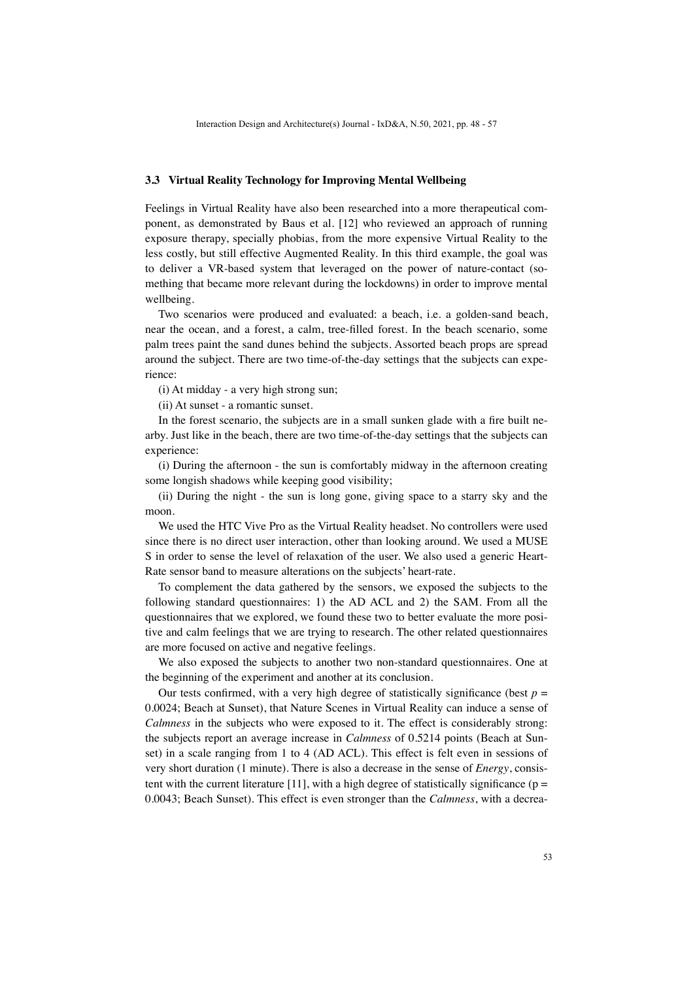#### **3.3 Virtual Reality Technology for Improving Mental Wellbeing**

Feelings in Virtual Reality have also been researched into a more therapeutical component, as demonstrated by Baus et al. [12] who reviewed an approach of running exposure therapy, specially phobias, from the more expensive Virtual Reality to the less costly, but still effective Augmented Reality. In this third example, the goal was to deliver a VR-based system that leveraged on the power of nature-contact (something that became more relevant during the lockdowns) in order to improve mental wellbeing.

Two scenarios were produced and evaluated: a beach, i.e. a golden-sand beach, near the ocean, and a forest, a calm, tree-filled forest. In the beach scenario, some palm trees paint the sand dunes behind the subjects. Assorted beach props are spread around the subject. There are two time-of-the-day settings that the subjects can experience:

(i) At midday - a very high strong sun;

(ii) At sunset - a romantic sunset.

In the forest scenario, the subjects are in a small sunken glade with a fire built nearby. Just like in the beach, there are two time-of-the-day settings that the subjects can experience:

(i) During the afternoon - the sun is comfortably midway in the afternoon creating some longish shadows while keeping good visibility;

(ii) During the night - the sun is long gone, giving space to a starry sky and the moon.

We used the HTC Vive Pro as the Virtual Reality headset. No controllers were used since there is no direct user interaction, other than looking around. We used a MUSE S in order to sense the level of relaxation of the user. We also used a generic Heart-Rate sensor band to measure alterations on the subjects' heart-rate.

To complement the data gathered by the sensors, we exposed the subjects to the following standard questionnaires: 1) the AD ACL and 2) the SAM. From all the questionnaires that we explored, we found these two to better evaluate the more positive and calm feelings that we are trying to research. The other related questionnaires are more focused on active and negative feelings.

We also exposed the subjects to another two non-standard questionnaires. One at the beginning of the experiment and another at its conclusion.

Our tests confirmed, with a very high degree of statistically significance (best  $p =$ 0.0024; Beach at Sunset), that Nature Scenes in Virtual Reality can induce a sense of *Calmness* in the subjects who were exposed to it. The effect is considerably strong: the subjects report an average increase in *Calmness* of 0.5214 points (Beach at Sunset) in a scale ranging from 1 to 4 (AD ACL). This effect is felt even in sessions of very short duration (1 minute). There is also a decrease in the sense of *Energy*, consistent with the current literature [11], with a high degree of statistically significance ( $p =$ 0.0043; Beach Sunset). This effect is even stronger than the *Calmness*, with a decrea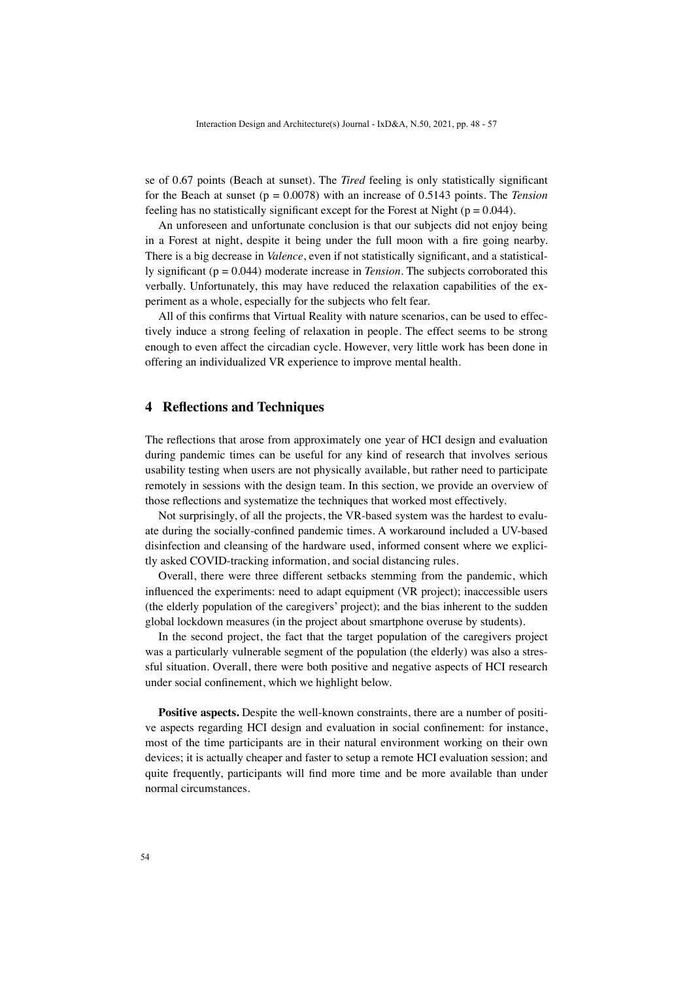se of 0.67 points (Beach at sunset). The *Tired* feeling is only statistically significant for the Beach at sunset (p = 0.0078) with an increase of 0.5143 points. The *Tension* feeling has no statistically significant except for the Forest at Night ( $p = 0.044$ ).

An unforeseen and unfortunate conclusion is that our subjects did not enjoy being in a Forest at night, despite it being under the full moon with a fire going nearby. There is a big decrease in *Valence*, even if not statistically significant, and a statistically significant (p = 0.044) moderate increase in *Tension*. The subjects corroborated this verbally. Unfortunately, this may have reduced the relaxation capabilities of the experiment as a whole, especially for the subjects who felt fear.

All of this confirms that Virtual Reality with nature scenarios, can be used to effectively induce a strong feeling of relaxation in people. The effect seems to be strong enough to even affect the circadian cycle. However, very little work has been done in offering an individualized VR experience to improve mental health.

### **4 Reflections and Techniques**

The reflections that arose from approximately one year of HCI design and evaluation during pandemic times can be useful for any kind of research that involves serious usability testing when users are not physically available, but rather need to participate remotely in sessions with the design team. In this section, we provide an overview of those reflections and systematize the techniques that worked most effectively.

Not surprisingly, of all the projects, the VR-based system was the hardest to evaluate during the socially-confined pandemic times. A workaround included a UV-based disinfection and cleansing of the hardware used, informed consent where we explicitly asked COVID-tracking information, and social distancing rules.

Overall, there were three different setbacks stemming from the pandemic, which influenced the experiments: need to adapt equipment (VR project); inaccessible users (the elderly population of the caregivers' project); and the bias inherent to the sudden global lockdown measures (in the project about smartphone overuse by students).

In the second project, the fact that the target population of the caregivers project was a particularly vulnerable segment of the population (the elderly) was also a stressful situation. Overall, there were both positive and negative aspects of HCI research under social confinement, which we highlight below.

**Positive aspects.** Despite the well-known constraints, there are a number of positive aspects regarding HCI design and evaluation in social confinement: for instance, most of the time participants are in their natural environment working on their own devices; it is actually cheaper and faster to setup a remote HCI evaluation session; and quite frequently, participants will find more time and be more available than under normal circumstances.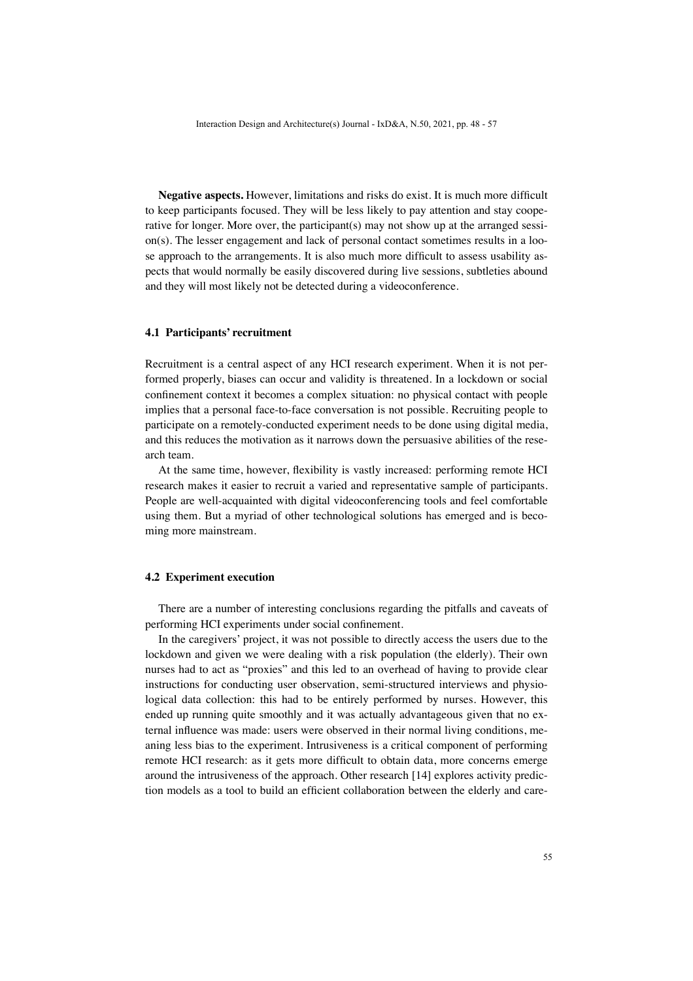**Negative aspects.** However, limitations and risks do exist. It is much more difficult to keep participants focused. They will be less likely to pay attention and stay cooperative for longer. More over, the participant(s) may not show up at the arranged session(s). The lesser engagement and lack of personal contact sometimes results in a loose approach to the arrangements. It is also much more difficult to assess usability aspects that would normally be easily discovered during live sessions, subtleties abound and they will most likely not be detected during a videoconference.

### **4.1 Participants' recruitment**

Recruitment is a central aspect of any HCI research experiment. When it is not performed properly, biases can occur and validity is threatened. In a lockdown or social confinement context it becomes a complex situation: no physical contact with people implies that a personal face-to-face conversation is not possible. Recruiting people to participate on a remotely-conducted experiment needs to be done using digital media, and this reduces the motivation as it narrows down the persuasive abilities of the research team.

At the same time, however, flexibility is vastly increased: performing remote HCI research makes it easier to recruit a varied and representative sample of participants. People are well-acquainted with digital videoconferencing tools and feel comfortable using them. But a myriad of other technological solutions has emerged and is becoming more mainstream.

### **4.2 Experiment execution**

There are a number of interesting conclusions regarding the pitfalls and caveats of performing HCI experiments under social confinement.

In the caregivers' project, it was not possible to directly access the users due to the lockdown and given we were dealing with a risk population (the elderly). Their own nurses had to act as "proxies" and this led to an overhead of having to provide clear instructions for conducting user observation, semi-structured interviews and physiological data collection: this had to be entirely performed by nurses. However, this ended up running quite smoothly and it was actually advantageous given that no external influence was made: users were observed in their normal living conditions, meaning less bias to the experiment. Intrusiveness is a critical component of performing remote HCI research: as it gets more difficult to obtain data, more concerns emerge around the intrusiveness of the approach. Other research [14] explores activity prediction models as a tool to build an efficient collaboration between the elderly and care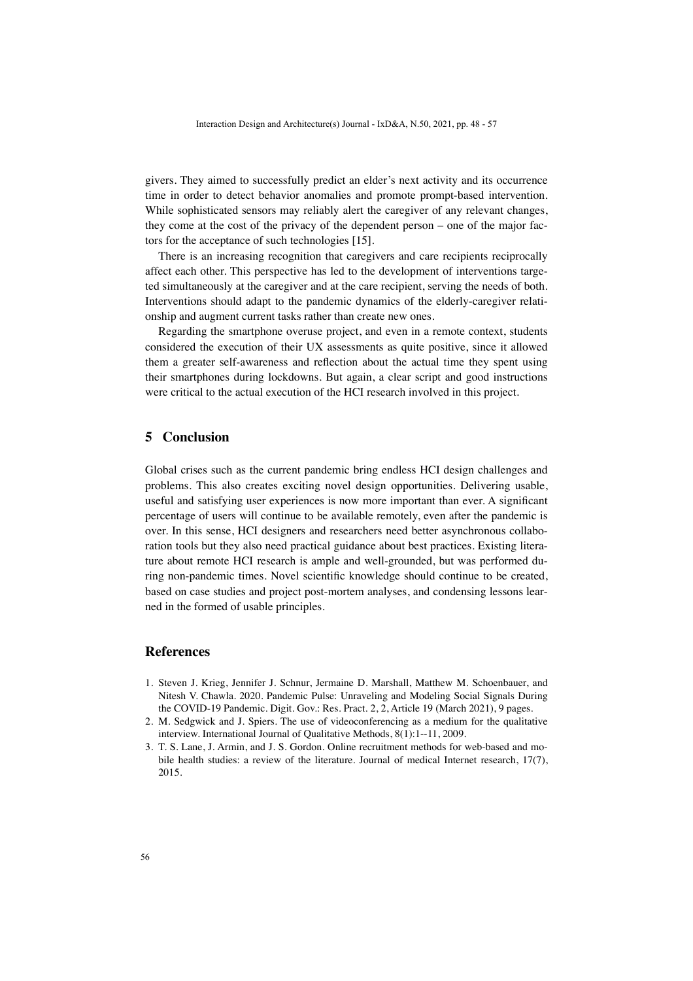givers. They aimed to successfully predict an elder's next activity and its occurrence time in order to detect behavior anomalies and promote prompt-based intervention. While sophisticated sensors may reliably alert the caregiver of any relevant changes, they come at the cost of the privacy of the dependent person – one of the major factors for the acceptance of such technologies [15].

There is an increasing recognition that caregivers and care recipients reciprocally affect each other. This perspective has led to the development of interventions targeted simultaneously at the caregiver and at the care recipient, serving the needs of both. Interventions should adapt to the pandemic dynamics of the elderly-caregiver relationship and augment current tasks rather than create new ones.

Regarding the smartphone overuse project, and even in a remote context, students considered the execution of their UX assessments as quite positive, since it allowed them a greater self-awareness and reflection about the actual time they spent using their smartphones during lockdowns. But again, a clear script and good instructions were critical to the actual execution of the HCI research involved in this project.

# **5 Conclusion**

Global crises such as the current pandemic bring endless HCI design challenges and problems. This also creates exciting novel design opportunities. Delivering usable, useful and satisfying user experiences is now more important than ever. A significant percentage of users will continue to be available remotely, even after the pandemic is over. In this sense, HCI designers and researchers need better asynchronous collaboration tools but they also need practical guidance about best practices. Existing literature about remote HCI research is ample and well-grounded, but was performed during non-pandemic times. Novel scientific knowledge should continue to be created, based on case studies and project post-mortem analyses, and condensing lessons learned in the formed of usable principles.

# **References**

- 1. Steven J. Krieg, Jennifer J. Schnur, Jermaine D. Marshall, Matthew M. Schoenbauer, and Nitesh V. Chawla. 2020. Pandemic Pulse: Unraveling and Modeling Social Signals During the COVID-19 Pandemic. Digit. Gov.: Res. Pract. 2, 2, Article 19 (March 2021), 9 pages.
- 2. M. Sedgwick and J. Spiers. The use of videoconferencing as a medium for the qualitative interview. International Journal of Qualitative Methods, 8(1):1--11, 2009.
- 3. T. S. Lane, J. Armin, and J. S. Gordon. Online recruitment methods for web-based and mobile health studies: a review of the literature. Journal of medical Internet research, 17(7), 2015.